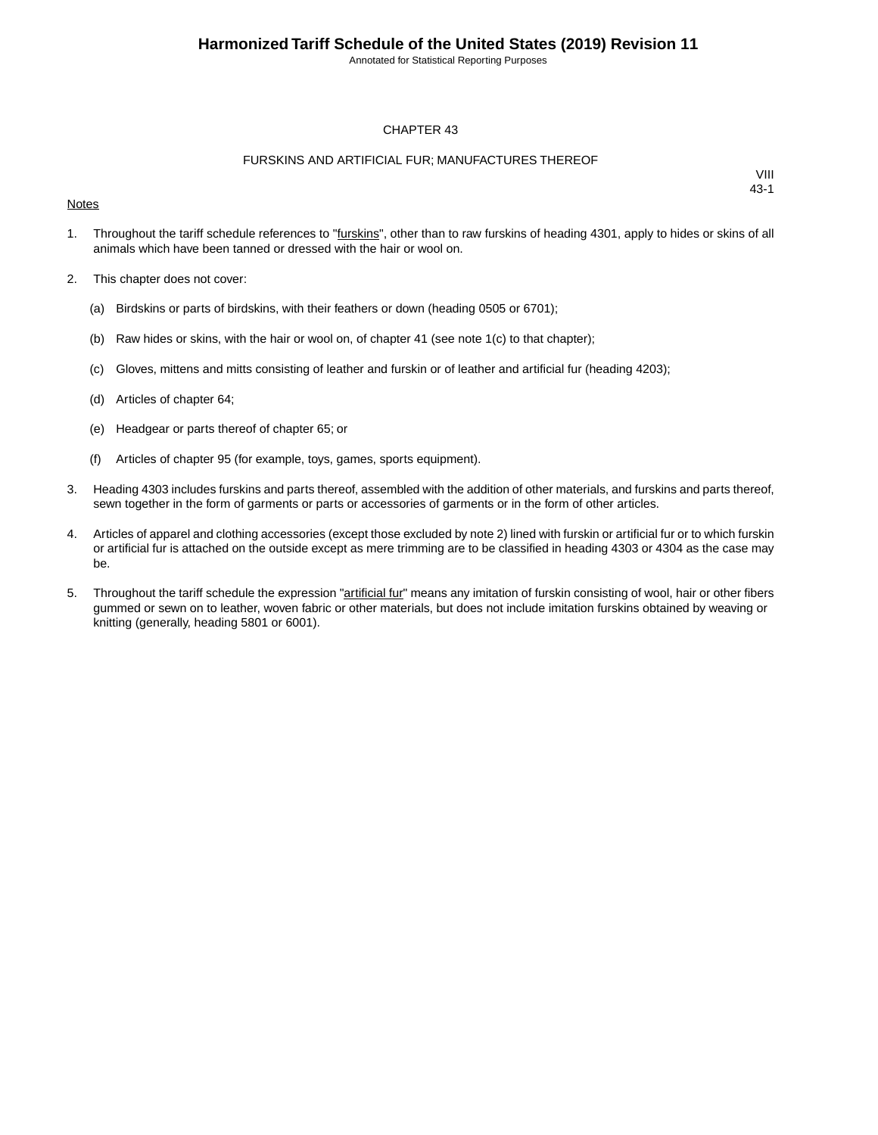Annotated for Statistical Reporting Purposes

### CHAPTER 43

### FURSKINS AND ARTIFICIAL FUR; MANUFACTURES THEREOF

### **Notes**

- 1. Throughout the tariff schedule references to "furskins", other than to raw furskins of heading 4301, apply to hides or skins of all animals which have been tanned or dressed with the hair or wool on.
- 2. This chapter does not cover:
	- (a) Birdskins or parts of birdskins, with their feathers or down (heading 0505 or 6701);
	- (b) Raw hides or skins, with the hair or wool on, of chapter 41 (see note  $1(c)$  to that chapter);
	- (c) Gloves, mittens and mitts consisting of leather and furskin or of leather and artificial fur (heading 4203);
	- (d) Articles of chapter 64;
	- (e) Headgear or parts thereof of chapter 65; or
	- (f) Articles of chapter 95 (for example, toys, games, sports equipment).
- 3. Heading 4303 includes furskins and parts thereof, assembled with the addition of other materials, and furskins and parts thereof, sewn together in the form of garments or parts or accessories of garments or in the form of other articles.
- 4. Articles of apparel and clothing accessories (except those excluded by note 2) lined with furskin or artificial fur or to which furskin or artificial fur is attached on the outside except as mere trimming are to be classified in heading 4303 or 4304 as the case may be.
- 5. Throughout the tariff schedule the expression "artificial fur" means any imitation of furskin consisting of wool, hair or other fibers gummed or sewn on to leather, woven fabric or other materials, but does not include imitation furskins obtained by weaving or knitting (generally, heading 5801 or 6001).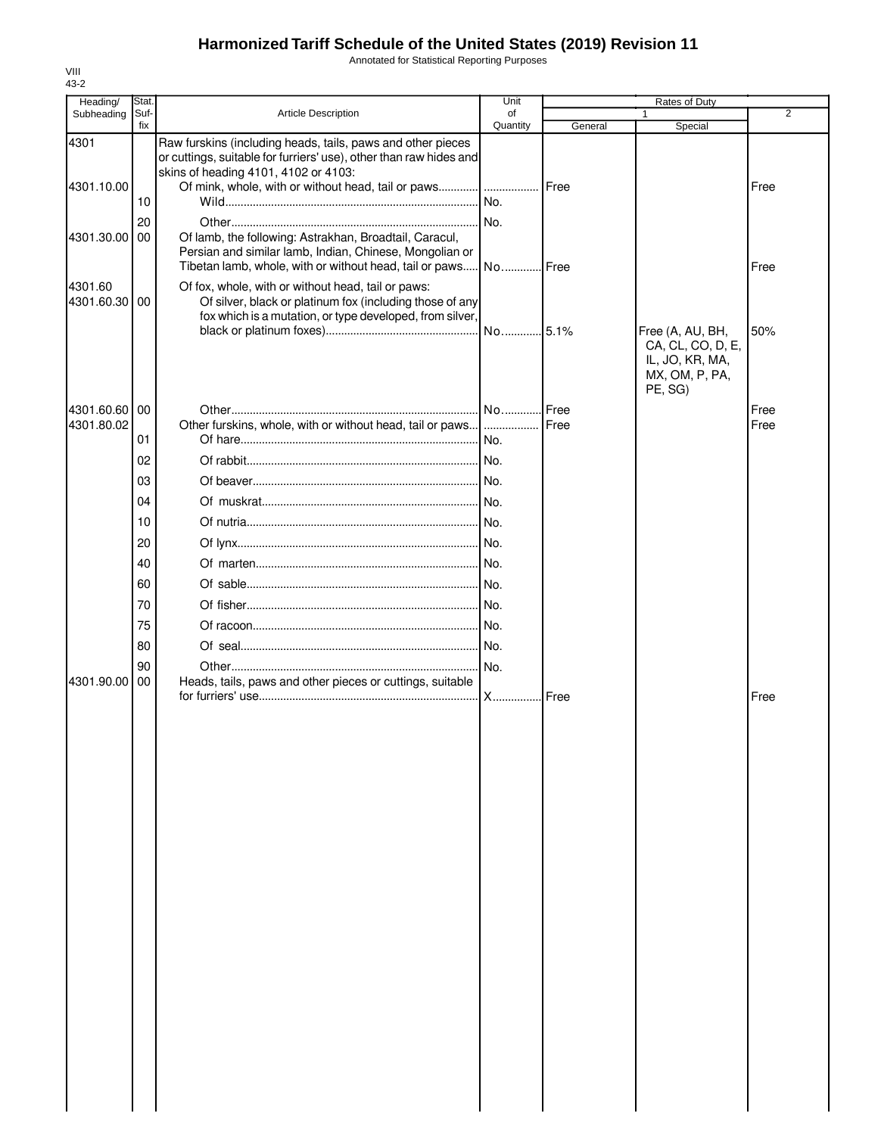Annotated for Statistical Reporting Purposes

| Heading/                 | Stat. |                                                                                                                                                                           | Unit        |               | Rates of Duty                     |                |
|--------------------------|-------|---------------------------------------------------------------------------------------------------------------------------------------------------------------------------|-------------|---------------|-----------------------------------|----------------|
| Subheading               | Suf-  | <b>Article Description</b>                                                                                                                                                | of          |               | 1                                 | $\overline{2}$ |
|                          | fix   |                                                                                                                                                                           | Quantity    | General       | Special                           |                |
| 4301                     |       | Raw furskins (including heads, tails, paws and other pieces<br>or cuttings, suitable for furriers' use), other than raw hides and<br>skins of heading 4101, 4102 or 4103: |             |               |                                   |                |
| 4301.10.00               |       | Of mink, whole, with or without head, tail or paws                                                                                                                        |             | <b>I</b> Free |                                   | Free           |
|                          | 10    |                                                                                                                                                                           |             |               |                                   |                |
|                          | 20    |                                                                                                                                                                           |             |               |                                   |                |
| 4301.30.00 00            |       | Of lamb, the following: Astrakhan, Broadtail, Caracul,                                                                                                                    |             |               |                                   |                |
|                          |       | Persian and similar lamb, Indian, Chinese, Mongolian or                                                                                                                   |             |               |                                   |                |
|                          |       | Tibetan lamb, whole, with or without head, tail or paws                                                                                                                   | .l NoI Free |               |                                   | Free           |
| 4301.60<br>4301.60.30 00 |       | Of fox, whole, with or without head, tail or paws:<br>Of silver, black or platinum fox (including those of any                                                            |             |               |                                   |                |
|                          |       | fox which is a mutation, or type developed, from silver,                                                                                                                  |             |               |                                   |                |
|                          |       |                                                                                                                                                                           |             |               | Free (A, AU, BH,                  | 50%            |
|                          |       |                                                                                                                                                                           |             |               | CA, CL, CO, D, E,                 |                |
|                          |       |                                                                                                                                                                           |             |               | IL, JO, KR, MA,<br>MX, OM, P, PA, |                |
|                          |       |                                                                                                                                                                           |             |               | PE, SG)                           |                |
| 4301.60.60               | 00    |                                                                                                                                                                           |             | <b>I</b> Free |                                   | Free           |
| 4301.80.02               |       | Other furskins, whole, with or without head, tail or paws [                                                                                                               |             | Free          |                                   | Free           |
|                          | 01    |                                                                                                                                                                           |             |               |                                   |                |
|                          | 02    |                                                                                                                                                                           |             |               |                                   |                |
|                          | 03    |                                                                                                                                                                           |             |               |                                   |                |
|                          | 04    |                                                                                                                                                                           |             |               |                                   |                |
|                          | 10    |                                                                                                                                                                           |             |               |                                   |                |
|                          | 20    |                                                                                                                                                                           |             |               |                                   |                |
|                          |       |                                                                                                                                                                           |             |               |                                   |                |
|                          | 40    |                                                                                                                                                                           |             |               |                                   |                |
|                          | 60    |                                                                                                                                                                           |             |               |                                   |                |
|                          | 70    |                                                                                                                                                                           |             |               |                                   |                |
|                          | 75    |                                                                                                                                                                           |             |               |                                   |                |
|                          | 80    |                                                                                                                                                                           |             |               |                                   |                |
|                          | 90    |                                                                                                                                                                           |             |               |                                   |                |
| 4301.90.00               | 00    | Heads, tails, paws and other pieces or cuttings, suitable                                                                                                                 |             |               |                                   |                |
|                          |       |                                                                                                                                                                           |             | <b>I</b> Free |                                   | Free           |
|                          |       |                                                                                                                                                                           |             |               |                                   |                |
|                          |       |                                                                                                                                                                           |             |               |                                   |                |
|                          |       |                                                                                                                                                                           |             |               |                                   |                |
|                          |       |                                                                                                                                                                           |             |               |                                   |                |
|                          |       |                                                                                                                                                                           |             |               |                                   |                |
|                          |       |                                                                                                                                                                           |             |               |                                   |                |
|                          |       |                                                                                                                                                                           |             |               |                                   |                |
|                          |       |                                                                                                                                                                           |             |               |                                   |                |
|                          |       |                                                                                                                                                                           |             |               |                                   |                |
|                          |       |                                                                                                                                                                           |             |               |                                   |                |
|                          |       |                                                                                                                                                                           |             |               |                                   |                |
|                          |       |                                                                                                                                                                           |             |               |                                   |                |
|                          |       |                                                                                                                                                                           |             |               |                                   |                |
|                          |       |                                                                                                                                                                           |             |               |                                   |                |
|                          |       |                                                                                                                                                                           |             |               |                                   |                |
|                          |       |                                                                                                                                                                           |             |               |                                   |                |
|                          |       |                                                                                                                                                                           |             |               |                                   |                |
|                          |       |                                                                                                                                                                           |             |               |                                   |                |
|                          |       |                                                                                                                                                                           |             |               |                                   |                |
|                          |       |                                                                                                                                                                           |             |               |                                   |                |
|                          |       |                                                                                                                                                                           |             |               |                                   |                |
|                          |       |                                                                                                                                                                           |             |               |                                   |                |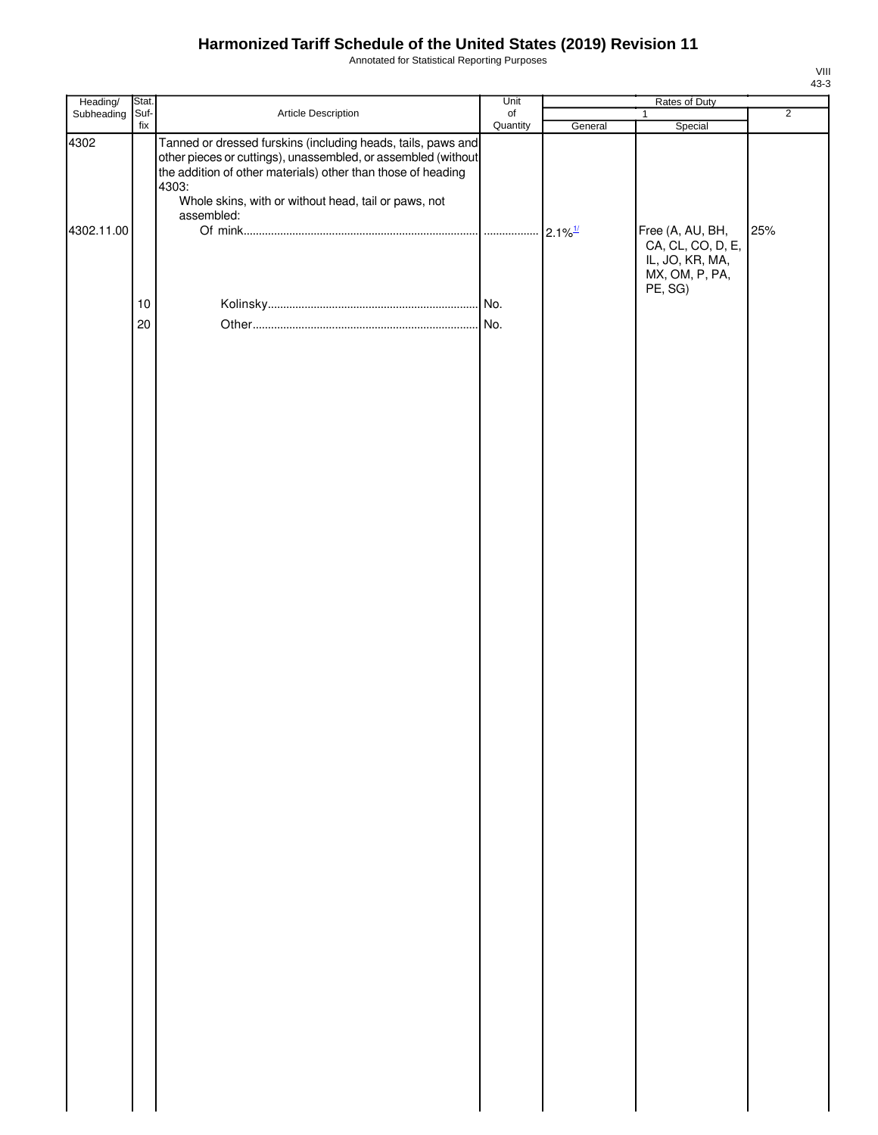Annotated for Statistical Reporting Purposes

| Heading/   | Stat. |                                                                                                                                                                                                                                                                              | Unit      |                       |                                                                                       |                |
|------------|-------|------------------------------------------------------------------------------------------------------------------------------------------------------------------------------------------------------------------------------------------------------------------------------|-----------|-----------------------|---------------------------------------------------------------------------------------|----------------|
| Subheading | Suf-  | Article Description                                                                                                                                                                                                                                                          | $\circ$ f |                       | $\mathbf{1}$                                                                          | $\overline{2}$ |
| 4302       | fix   | Tanned or dressed furskins (including heads, tails, paws and<br>other pieces or cuttings), unassembled, or assembled (without<br>the addition of other materials) other than those of heading<br>4303:<br>Whole skins, with or without head, tail or paws, not<br>assembled: | Quantity  | General               | Special                                                                               |                |
| 4302.11.00 |       |                                                                                                                                                                                                                                                                              |           | $2.1\%$ <sup>1/</sup> | Free (A, AU, BH,<br>CA, CL, CO, D, E,<br>IL, JO, KR, MA,<br>MX, OM, P, PA,<br>PE, SG) | 25%            |
|            | 10    |                                                                                                                                                                                                                                                                              |           |                       |                                                                                       |                |
|            |       |                                                                                                                                                                                                                                                                              |           |                       |                                                                                       |                |
|            | 20    |                                                                                                                                                                                                                                                                              |           |                       |                                                                                       |                |
|            |       |                                                                                                                                                                                                                                                                              |           |                       |                                                                                       |                |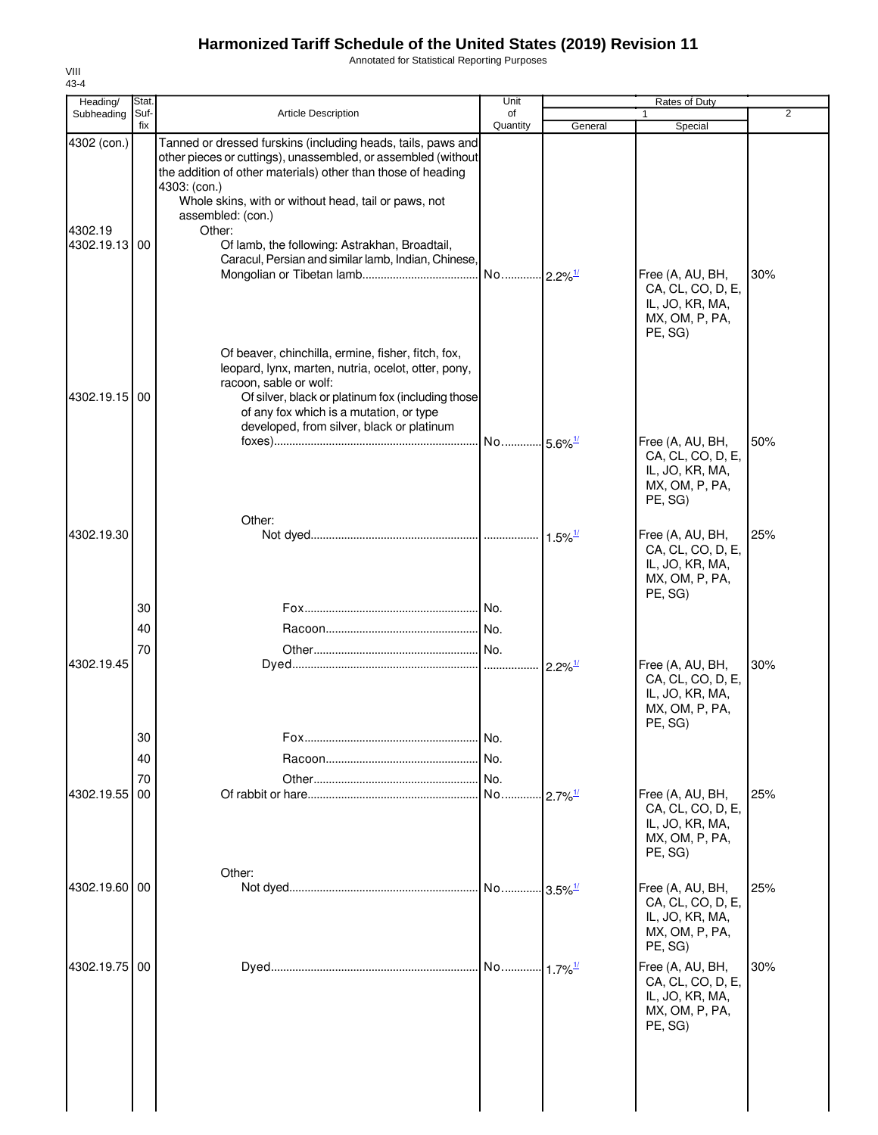Annotated for Statistical Reporting Purposes

| Heading/                                | Stat.       |                                                                                                                                                                                                                                                                                                                                                                                                              | Unit                  |                       | Rates of Duty                                                                         |                |
|-----------------------------------------|-------------|--------------------------------------------------------------------------------------------------------------------------------------------------------------------------------------------------------------------------------------------------------------------------------------------------------------------------------------------------------------------------------------------------------------|-----------------------|-----------------------|---------------------------------------------------------------------------------------|----------------|
| Subheading                              | Suf-<br>fix | <b>Article Description</b>                                                                                                                                                                                                                                                                                                                                                                                   | of<br>Quantity        | General               | Special                                                                               | $\overline{2}$ |
| 4302 (con.)<br>4302.19<br>4302.19.13 00 |             | Tanned or dressed furskins (including heads, tails, paws and<br>other pieces or cuttings), unassembled, or assembled (without<br>the addition of other materials) other than those of heading<br>4303: (con.)<br>Whole skins, with or without head, tail or paws, not<br>assembled: (con.)<br>Other:<br>Of lamb, the following: Astrakhan, Broadtail,<br>Caracul, Persian and similar lamb, Indian, Chinese, | No 2.2% <sup>1/</sup> |                       | Free (A, AU, BH,                                                                      | 30%            |
| 4302.19.15 00                           |             | Of beaver, chinchilla, ermine, fisher, fitch, fox,<br>leopard, lynx, marten, nutria, ocelot, otter, pony,<br>racoon, sable or wolf:<br>Of silver, black or platinum fox (including those<br>of any fox which is a mutation, or type<br>developed, from silver, black or platinum                                                                                                                             |                       |                       | CA, CL, CO, D, E,<br>IL, JO, KR, MA,<br>MX, OM, P, PA,<br>PE, SG)                     |                |
|                                         |             | Other:                                                                                                                                                                                                                                                                                                                                                                                                       | No 5.6% <sup>1/</sup> |                       | Free (A, AU, BH,<br>CA, CL, CO, D, E,<br>IL, JO, KR, MA,<br>MX, OM, P, PA,<br>PE, SG) | 50%            |
| 4302.19.30                              | 30          |                                                                                                                                                                                                                                                                                                                                                                                                              |                       | $1.5\%$ <sup>1/</sup> | Free (A, AU, BH,<br>CA, CL, CO, D, E,<br>IL, JO, KR, MA,<br>MX, OM, P, PA,<br>PE, SG) | 25%            |
|                                         | 40          |                                                                                                                                                                                                                                                                                                                                                                                                              |                       |                       |                                                                                       |                |
|                                         | 70          |                                                                                                                                                                                                                                                                                                                                                                                                              |                       |                       |                                                                                       |                |
| 4302.19.45                              | 30          |                                                                                                                                                                                                                                                                                                                                                                                                              | .I No.                | $2.2\%$ <sup>1/</sup> | Free (A, AU, BH,<br>CA, CL, CO, D, E,<br>IL, JO, KR, MA,<br>MX, OM, P, PA,<br>PE, SG) | 30%            |
|                                         | 40          |                                                                                                                                                                                                                                                                                                                                                                                                              | INo.                  |                       |                                                                                       |                |
|                                         | 70          |                                                                                                                                                                                                                                                                                                                                                                                                              | No.                   |                       |                                                                                       |                |
| 4302.19.55                              | 00          |                                                                                                                                                                                                                                                                                                                                                                                                              | No                    | $2.7\%$ <sup>1/</sup> | Free (A, AU, BH,<br>CA, CL, CO, D, E,<br>IL, JO, KR, MA,<br>MX, OM, P, PA,<br>PE, SG) | 25%            |
| 4302.19.60 00                           |             | Other:                                                                                                                                                                                                                                                                                                                                                                                                       | No 3.5% <sup>1/</sup> |                       | Free (A, AU, BH,<br>CA, CL, CO, D, E,<br>IL, JO, KR, MA,<br>MX, OM, P, PA,<br>PE, SG) | 25%            |
| 4302.19.75                              | 00          |                                                                                                                                                                                                                                                                                                                                                                                                              | No                    | $1.7\%$ <sup>1/</sup> | Free (A, AU, BH,<br>CA, CL, CO, D, E,<br>IL, JO, KR, MA,<br>MX, OM, P, PA,<br>PE, SG) | 30%            |
|                                         |             |                                                                                                                                                                                                                                                                                                                                                                                                              |                       |                       |                                                                                       |                |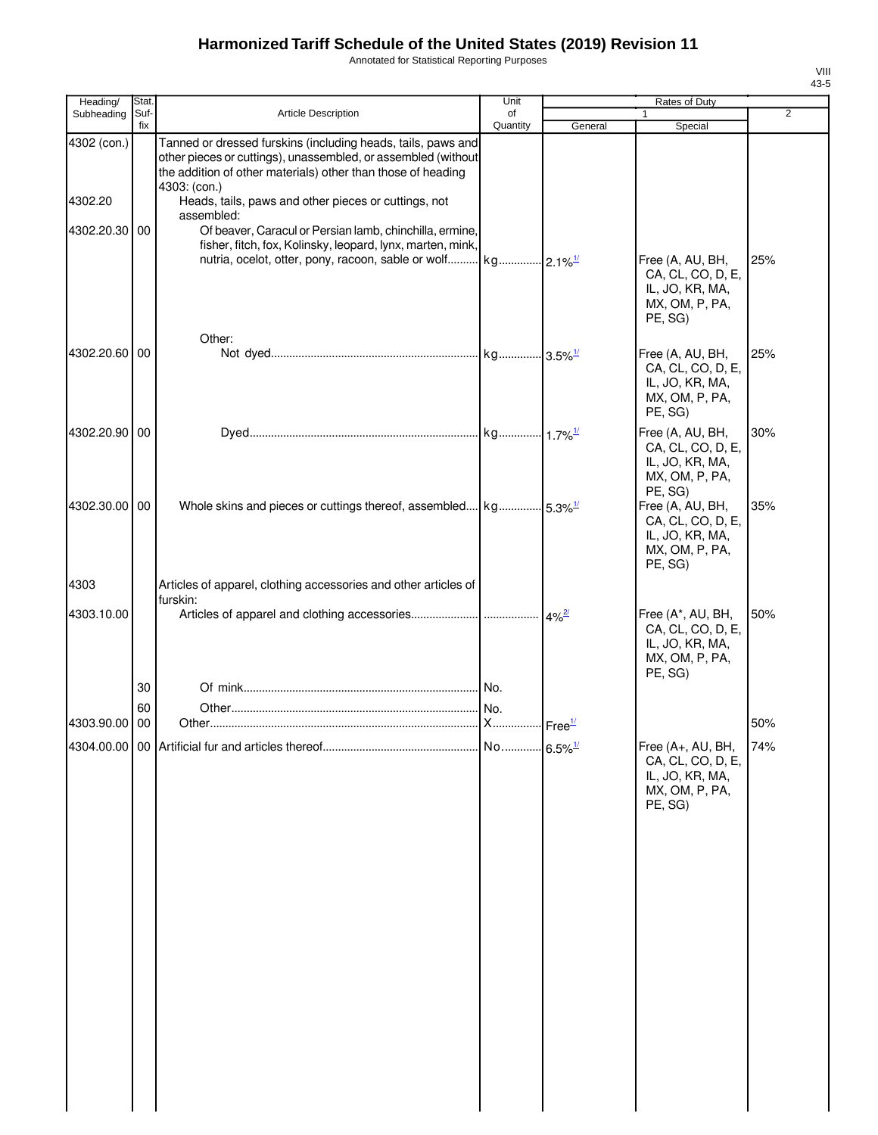Annotated for Statistical Reporting Purposes

| VIII |  |
|------|--|
| 43-5 |  |

| Heading/               | Stat.       |                                                                                                                                                                                                                                                                       | Unit           | Rates of Duty |                                                                                        |     |
|------------------------|-------------|-----------------------------------------------------------------------------------------------------------------------------------------------------------------------------------------------------------------------------------------------------------------------|----------------|---------------|----------------------------------------------------------------------------------------|-----|
| Subheading             | Suf-<br>fix | <b>Article Description</b>                                                                                                                                                                                                                                            | of<br>Quantity | General       | $\mathbf{1}$<br>Special                                                                | 2   |
| 4302 (con.)<br>4302.20 |             | Tanned or dressed furskins (including heads, tails, paws and<br>other pieces or cuttings), unassembled, or assembled (without<br>the addition of other materials) other than those of heading<br>4303: (con.)<br>Heads, tails, paws and other pieces or cuttings, not |                |               |                                                                                        |     |
| 4302.20.30 00          |             | assembled:<br>Of beaver, Caracul or Persian lamb, chinchilla, ermine,<br>fisher, fitch, fox, Kolinsky, leopard, lynx, marten, mink,                                                                                                                                   |                |               |                                                                                        |     |
|                        |             |                                                                                                                                                                                                                                                                       |                |               | Free (A, AU, BH,<br>CA, CL, CO, D, E,<br>IL, JO, KR, MA,<br>MX, OM, P, PA,<br>PE, SG)  | 25% |
| 4302.20.60 00          |             | Other:                                                                                                                                                                                                                                                                |                |               | Free (A, AU, BH,<br>CA, CL, CO, D, E,<br>IL, JO, KR, MA,<br>MX, OM, P, PA,<br>PE, SG)  | 25% |
| 4302.20.90 00          |             |                                                                                                                                                                                                                                                                       |                |               | Free (A, AU, BH,<br>CA, CL, CO, D, E,<br>IL, JO, KR, MA,<br>MX, OM, P, PA,<br>PE, SG)  | 30% |
| 4302.30.00 00          |             | Whole skins and pieces or cuttings thereof, assembled   kg   5.3% <sup>1/</sup>                                                                                                                                                                                       |                |               | Free (A, AU, BH,<br>CA, CL, CO, D, E,<br>IL, JO, KR, MA,<br>MX, OM, P, PA,<br>PE, SG)  | 35% |
| 4303                   |             | Articles of apparel, clothing accessories and other articles of<br>furskin:                                                                                                                                                                                           |                |               |                                                                                        |     |
| 4303.10.00             |             |                                                                                                                                                                                                                                                                       |                |               | Free (A*, AU, BH,<br>CA, CL, CO, D, E,<br>IL, JO, KR, MA,<br>MX, OM, P, PA,<br>PE, SG) | 50% |
|                        | 30          |                                                                                                                                                                                                                                                                       |                |               |                                                                                        |     |
| 4303.90.00             | 60<br>00    |                                                                                                                                                                                                                                                                       |                |               |                                                                                        | 50% |
|                        |             |                                                                                                                                                                                                                                                                       |                |               | Free (A+, AU, BH,<br>CA, CL, CO, D, E,<br>IL, JO, KR, MA,<br>MX, OM, P, PA,<br>PE, SG) | 74% |
|                        |             |                                                                                                                                                                                                                                                                       |                |               |                                                                                        |     |
|                        |             |                                                                                                                                                                                                                                                                       |                |               |                                                                                        |     |
|                        |             |                                                                                                                                                                                                                                                                       |                |               |                                                                                        |     |
|                        |             |                                                                                                                                                                                                                                                                       |                |               |                                                                                        |     |